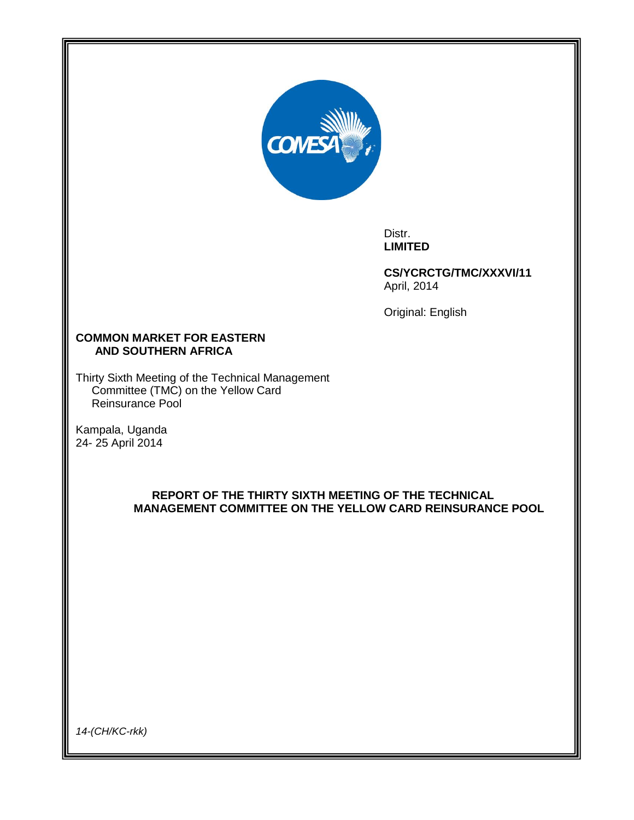

Distr. **LIMITED**

**CS/YCRCTG/TMC/XXXVI/11** April, 2014

Original: English

## **COMMON MARKET FOR EASTERN AND SOUTHERN AFRICA**

Thirty Sixth Meeting of the Technical Management Committee (TMC) on the Yellow Card Reinsurance Pool

Kampala, Uganda 24- 25 April 2014

# **REPORT OF THE THIRTY SIXTH MEETING OF THE TECHNICAL MANAGEMENT COMMITTEE ON THE YELLOW CARD REINSURANCE POOL**

*14-(CH/KC-rkk)*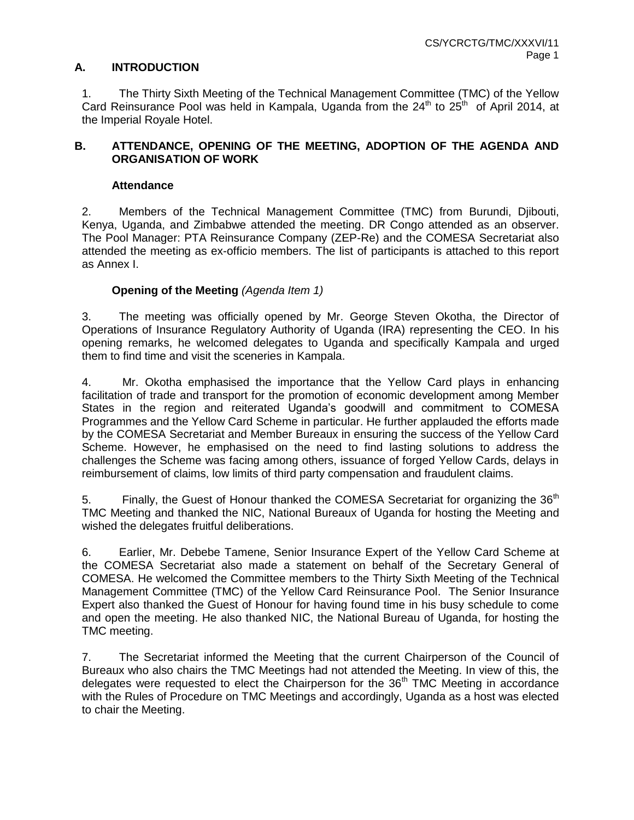## **A. INTRODUCTION**

1. The Thirty Sixth Meeting of the Technical Management Committee (TMC) of the Yellow Card Reinsurance Pool was held in Kampala, Uganda from the  $24<sup>th</sup>$  to  $25<sup>th</sup>$  of April 2014, at the Imperial Royale Hotel.

## **B. ATTENDANCE, OPENING OF THE MEETING, ADOPTION OF THE AGENDA AND ORGANISATION OF WORK**

### **Attendance**

2. Members of the Technical Management Committee (TMC) from Burundi, Djibouti, Kenya, Uganda, and Zimbabwe attended the meeting. DR Congo attended as an observer. The Pool Manager: PTA Reinsurance Company (ZEP-Re) and the COMESA Secretariat also attended the meeting as ex-officio members. The list of participants is attached to this report as Annex I.

### **Opening of the Meeting** *(Agenda Item 1)*

3. The meeting was officially opened by Mr. George Steven Okotha, the Director of Operations of Insurance Regulatory Authority of Uganda (IRA) representing the CEO. In his opening remarks, he welcomed delegates to Uganda and specifically Kampala and urged them to find time and visit the sceneries in Kampala.

4. Mr. Okotha emphasised the importance that the Yellow Card plays in enhancing facilitation of trade and transport for the promotion of economic development among Member States in the region and reiterated Uganda's goodwill and commitment to COMESA Programmes and the Yellow Card Scheme in particular. He further applauded the efforts made by the COMESA Secretariat and Member Bureaux in ensuring the success of the Yellow Card Scheme. However, he emphasised on the need to find lasting solutions to address the challenges the Scheme was facing among others, issuance of forged Yellow Cards, delays in reimbursement of claims, low limits of third party compensation and fraudulent claims.

5. Finally, the Guest of Honour thanked the COMESA Secretariat for organizing the  $36<sup>m</sup>$ TMC Meeting and thanked the NIC, National Bureaux of Uganda for hosting the Meeting and wished the delegates fruitful deliberations.

6. Earlier, Mr. Debebe Tamene, Senior Insurance Expert of the Yellow Card Scheme at the COMESA Secretariat also made a statement on behalf of the Secretary General of COMESA. He welcomed the Committee members to the Thirty Sixth Meeting of the Technical Management Committee (TMC) of the Yellow Card Reinsurance Pool. The Senior Insurance Expert also thanked the Guest of Honour for having found time in his busy schedule to come and open the meeting. He also thanked NIC, the National Bureau of Uganda, for hosting the TMC meeting.

7. The Secretariat informed the Meeting that the current Chairperson of the Council of Bureaux who also chairs the TMC Meetings had not attended the Meeting. In view of this, the delegates were requested to elect the Chairperson for the  $36<sup>th</sup>$  TMC Meeting in accordance with the Rules of Procedure on TMC Meetings and accordingly, Uganda as a host was elected to chair the Meeting.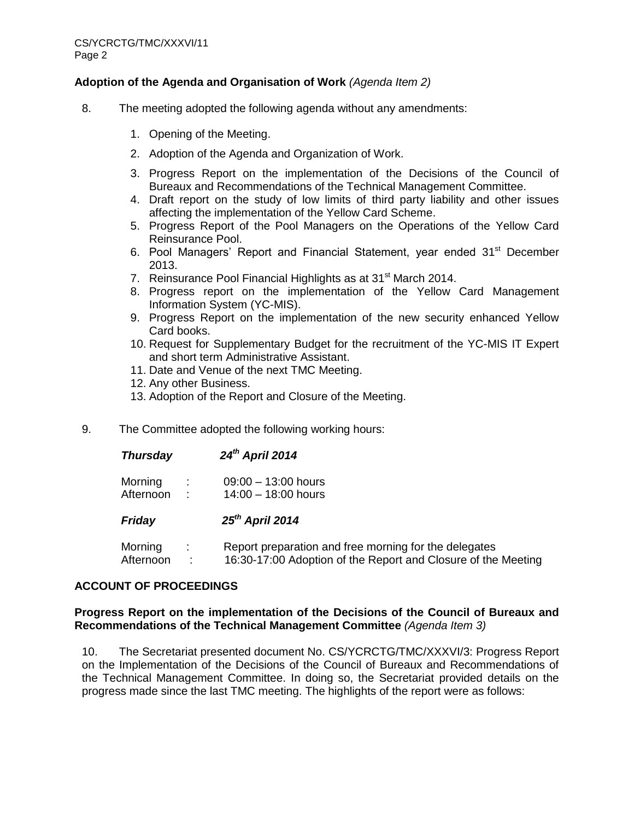## **Adoption of the Agenda and Organisation of Work** *(Agenda Item 2)*

- 8. The meeting adopted the following agenda without any amendments:
	- 1. Opening of the Meeting.
	- 2. Adoption of the Agenda and Organization of Work.
	- 3. Progress Report on the implementation of the Decisions of the Council of Bureaux and Recommendations of the Technical Management Committee.
	- 4. Draft report on the study of low limits of third party liability and other issues affecting the implementation of the Yellow Card Scheme.
	- 5. Progress Report of the Pool Managers on the Operations of the Yellow Card Reinsurance Pool.
	- 6. Pool Managers' Report and Financial Statement, year ended 31<sup>st</sup> December 2013.
	- 7. Reinsurance Pool Financial Highlights as at 31<sup>st</sup> March 2014.
	- 8. Progress report on the implementation of the Yellow Card Management Information System (YC-MIS).
	- 9. Progress Report on the implementation of the new security enhanced Yellow Card books.
	- 10. Request for Supplementary Budget for the recruitment of the YC-MIS IT Expert and short term Administrative Assistant.
	- 11. Date and Venue of the next TMC Meeting.
	- 12. Any other Business.
	- 13. Adoption of the Report and Closure of the Meeting.
- 9. The Committee adopted the following working hours:

| <b>Thursday</b>      |        | 24 <sup>th</sup> April 2014                                                                                            |
|----------------------|--------|------------------------------------------------------------------------------------------------------------------------|
| Morning<br>Afternoon | ÷<br>÷ | $09:00 - 13:00$ hours<br>$14:00 - 18:00$ hours                                                                         |
| Friday               |        | $25th$ April 2014                                                                                                      |
| Morning<br>Afternoon | ÷      | Report preparation and free morning for the delegates<br>16:30-17:00 Adoption of the Report and Closure of the Meeting |

## **ACCOUNT OF PROCEEDINGS**

### **Progress Report on the implementation of the Decisions of the Council of Bureaux and Recommendations of the Technical Management Committee** *(Agenda Item 3)*

10. The Secretariat presented document No. CS/YCRCTG/TMC/XXXVI/3: Progress Report on the Implementation of the Decisions of the Council of Bureaux and Recommendations of the Technical Management Committee. In doing so, the Secretariat provided details on the progress made since the last TMC meeting. The highlights of the report were as follows: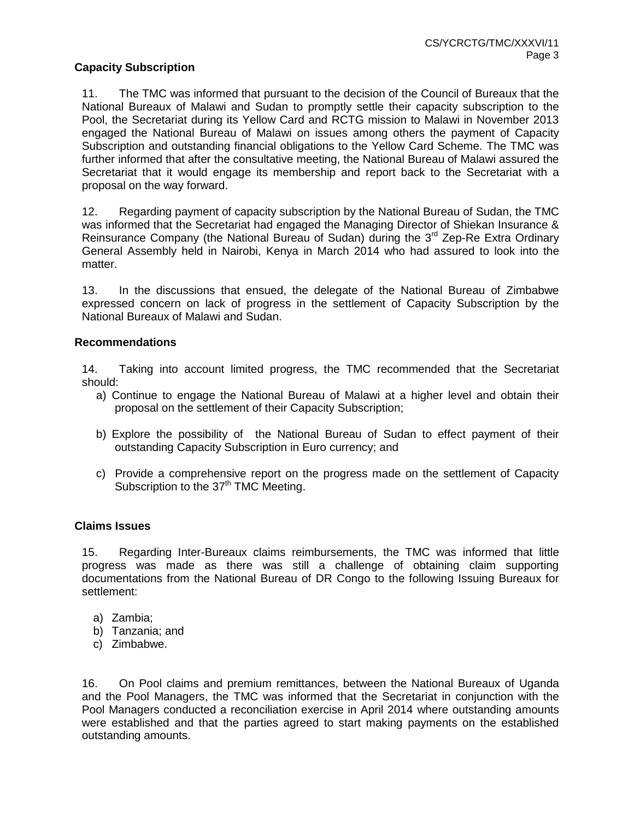### **Capacity Subscription**

11. The TMC was informed that pursuant to the decision of the Council of Bureaux that the National Bureaux of Malawi and Sudan to promptly settle their capacity subscription to the Pool, the Secretariat during its Yellow Card and RCTG mission to Malawi in November 2013 engaged the National Bureau of Malawi on issues among others the payment of Capacity Subscription and outstanding financial obligations to the Yellow Card Scheme. The TMC was further informed that after the consultative meeting, the National Bureau of Malawi assured the Secretariat that it would engage its membership and report back to the Secretariat with a proposal on the way forward.

12. Regarding payment of capacity subscription by the National Bureau of Sudan, the TMC was informed that the Secretariat had engaged the Managing Director of Shiekan Insurance & Reinsurance Company (the National Bureau of Sudan) during the 3<sup>rd</sup> Zep-Re Extra Ordinary General Assembly held in Nairobi, Kenya in March 2014 who had assured to look into the matter.

13. In the discussions that ensued, the delegate of the National Bureau of Zimbabwe expressed concern on lack of progress in the settlement of Capacity Subscription by the National Bureaux of Malawi and Sudan.

#### **Recommendations**

14. Taking into account limited progress, the TMC recommended that the Secretariat should:

- a) Continue to engage the National Bureau of Malawi at a higher level and obtain their proposal on the settlement of their Capacity Subscription;
- b) Explore the possibility of the National Bureau of Sudan to effect payment of their outstanding Capacity Subscription in Euro currency; and
- c) Provide a comprehensive report on the progress made on the settlement of Capacity Subscription to the  $37<sup>th</sup>$  TMC Meeting.

#### **Claims Issues**

15. Regarding Inter-Bureaux claims reimbursements, the TMC was informed that little progress was made as there was still a challenge of obtaining claim supporting documentations from the National Bureau of DR Congo to the following Issuing Bureaux for settlement:

- a) Zambia;
- b) Tanzania; and
- c) Zimbabwe.

16. On Pool claims and premium remittances, between the National Bureaux of Uganda and the Pool Managers, the TMC was informed that the Secretariat in conjunction with the Pool Managers conducted a reconciliation exercise in April 2014 where outstanding amounts were established and that the parties agreed to start making payments on the established outstanding amounts.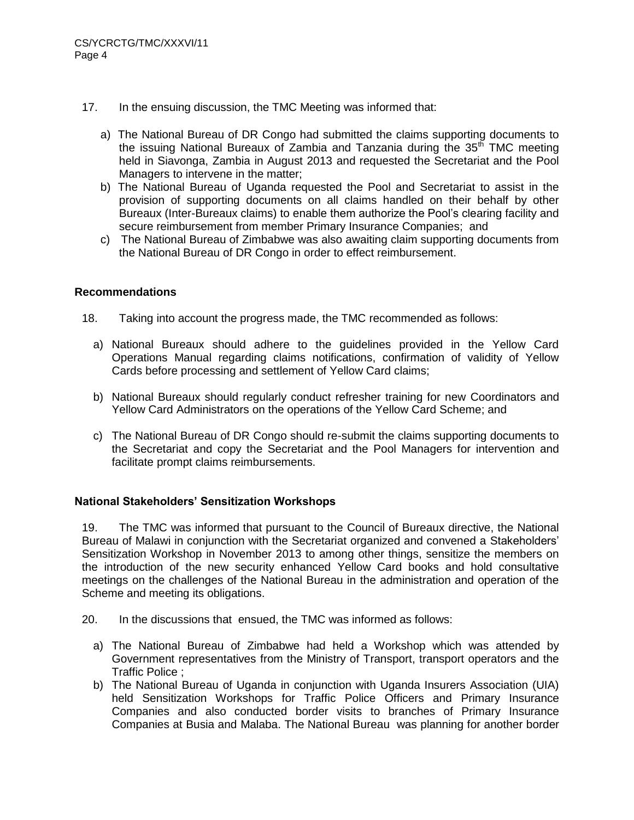- 17. In the ensuing discussion, the TMC Meeting was informed that:
	- a) The National Bureau of DR Congo had submitted the claims supporting documents to the issuing National Bureaux of Zambia and Tanzania during the  $35<sup>th</sup>$  TMC meeting held in Siavonga, Zambia in August 2013 and requested the Secretariat and the Pool Managers to intervene in the matter;
	- b) The National Bureau of Uganda requested the Pool and Secretariat to assist in the provision of supporting documents on all claims handled on their behalf by other Bureaux (Inter-Bureaux claims) to enable them authorize the Pool's clearing facility and secure reimbursement from member Primary Insurance Companies; and
	- c) The National Bureau of Zimbabwe was also awaiting claim supporting documents from the National Bureau of DR Congo in order to effect reimbursement.

- 18. Taking into account the progress made, the TMC recommended as follows:
	- a) National Bureaux should adhere to the guidelines provided in the Yellow Card Operations Manual regarding claims notifications, confirmation of validity of Yellow Cards before processing and settlement of Yellow Card claims;
	- b) National Bureaux should regularly conduct refresher training for new Coordinators and Yellow Card Administrators on the operations of the Yellow Card Scheme; and
	- c) The National Bureau of DR Congo should re-submit the claims supporting documents to the Secretariat and copy the Secretariat and the Pool Managers for intervention and facilitate prompt claims reimbursements.

## **National Stakeholders' Sensitization Workshops**

19. The TMC was informed that pursuant to the Council of Bureaux directive, the National Bureau of Malawi in conjunction with the Secretariat organized and convened a Stakeholders' Sensitization Workshop in November 2013 to among other things, sensitize the members on the introduction of the new security enhanced Yellow Card books and hold consultative meetings on the challenges of the National Bureau in the administration and operation of the Scheme and meeting its obligations.

- 20. In the discussions that ensued, the TMC was informed as follows:
	- a) The National Bureau of Zimbabwe had held a Workshop which was attended by Government representatives from the Ministry of Transport, transport operators and the Traffic Police ;
	- b) The National Bureau of Uganda in conjunction with Uganda Insurers Association (UIA) held Sensitization Workshops for Traffic Police Officers and Primary Insurance Companies and also conducted border visits to branches of Primary Insurance Companies at Busia and Malaba. The National Bureau was planning for another border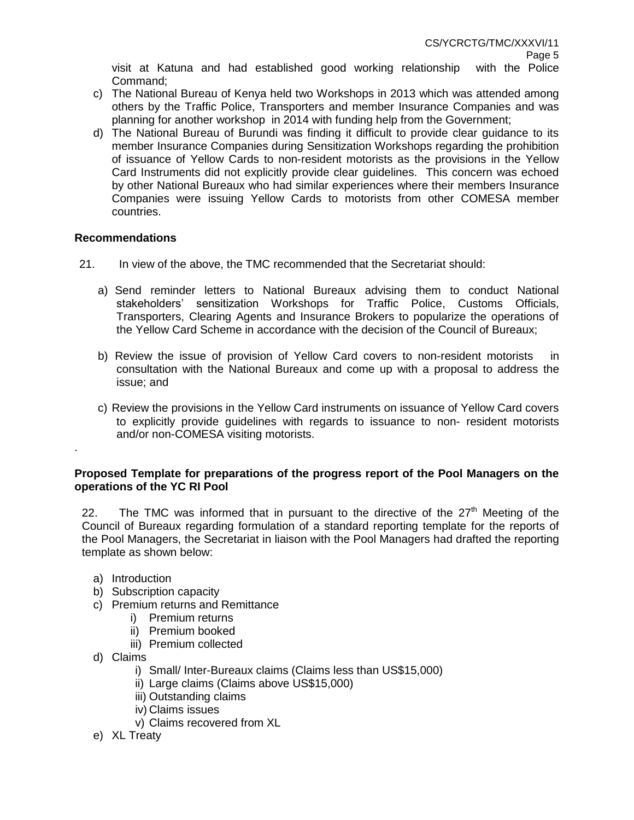visit at Katuna and had established good working relationship with the Police Command;

- c) The National Bureau of Kenya held two Workshops in 2013 which was attended among others by the Traffic Police, Transporters and member Insurance Companies and was planning for another workshop in 2014 with funding help from the Government;
- d) The National Bureau of Burundi was finding it difficult to provide clear guidance to its member Insurance Companies during Sensitization Workshops regarding the prohibition of issuance of Yellow Cards to non-resident motorists as the provisions in the Yellow Card Instruments did not explicitly provide clear guidelines. This concern was echoed by other National Bureaux who had similar experiences where their members Insurance Companies were issuing Yellow Cards to motorists from other COMESA member countries.

### **Recommendations**

- 21. In view of the above, the TMC recommended that the Secretariat should:
	- a) Send reminder letters to National Bureaux advising them to conduct National stakeholders' sensitization Workshops for Traffic Police, Customs Officials, Transporters, Clearing Agents and Insurance Brokers to popularize the operations of the Yellow Card Scheme in accordance with the decision of the Council of Bureaux;
	- b) Review the issue of provision of Yellow Card covers to non-resident motorists in consultation with the National Bureaux and come up with a proposal to address the issue; and
	- c) Review the provisions in the Yellow Card instruments on issuance of Yellow Card covers to explicitly provide guidelines with regards to issuance to non- resident motorists and/or non-COMESA visiting motorists.

### **Proposed Template for preparations of the progress report of the Pool Managers on the operations of the YC RI Pool**

22. The TMC was informed that in pursuant to the directive of the  $27<sup>th</sup>$  Meeting of the Council of Bureaux regarding formulation of a standard reporting template for the reports of the Pool Managers, the Secretariat in liaison with the Pool Managers had drafted the reporting template as shown below:

a) Introduction

.

- b) Subscription capacity
- c) Premium returns and Remittance
	- i) Premium returns
	- ii) Premium booked
	- iii) Premium collected
- d) Claims
	- i) Small/ Inter-Bureaux claims (Claims less than US\$15,000)
	- ii) Large claims (Claims above US\$15,000)
	- iii) Outstanding claims
	- iv) Claims issues
	- v) Claims recovered from XL
- e) XL Treaty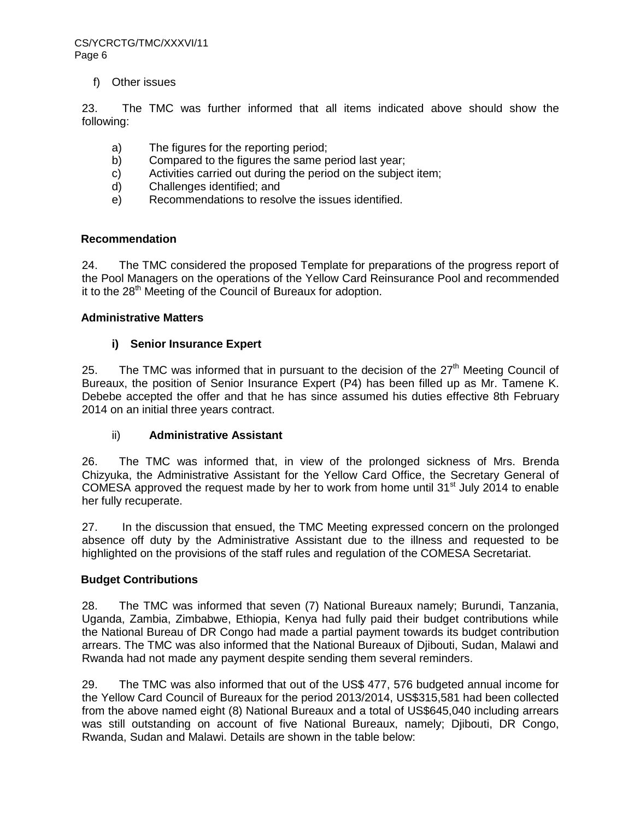f) Other issues

23. The TMC was further informed that all items indicated above should show the following:

- a) The figures for the reporting period;
- b) Compared to the figures the same period last year;
- c) Activities carried out during the period on the subject item;
- d) Challenges identified; and
- e) Recommendations to resolve the issues identified.

### **Recommendation**

24. The TMC considered the proposed Template for preparations of the progress report of the Pool Managers on the operations of the Yellow Card Reinsurance Pool and recommended it to the  $28<sup>th</sup>$  Meeting of the Council of Bureaux for adoption.

#### **Administrative Matters**

### **i) Senior Insurance Expert**

25. The TMC was informed that in pursuant to the decision of the  $27<sup>th</sup>$  Meeting Council of Bureaux, the position of Senior Insurance Expert (P4) has been filled up as Mr. Tamene K. Debebe accepted the offer and that he has since assumed his duties effective 8th February 2014 on an initial three years contract.

## ii) **Administrative Assistant**

26. The TMC was informed that, in view of the prolonged sickness of Mrs. Brenda Chizyuka, the Administrative Assistant for the Yellow Card Office, the Secretary General of COMESA approved the request made by her to work from home until 31 $^{\text{st}}$  July 2014 to enable her fully recuperate.

27. In the discussion that ensued, the TMC Meeting expressed concern on the prolonged absence off duty by the Administrative Assistant due to the illness and requested to be highlighted on the provisions of the staff rules and regulation of the COMESA Secretariat.

## **Budget Contributions**

28. The TMC was informed that seven (7) National Bureaux namely; Burundi, Tanzania, Uganda, Zambia, Zimbabwe, Ethiopia, Kenya had fully paid their budget contributions while the National Bureau of DR Congo had made a partial payment towards its budget contribution arrears. The TMC was also informed that the National Bureaux of Djibouti, Sudan, Malawi and Rwanda had not made any payment despite sending them several reminders.

29. The TMC was also informed that out of the US\$ 477, 576 budgeted annual income for the Yellow Card Council of Bureaux for the period 2013/2014, US\$315,581 had been collected from the above named eight (8) National Bureaux and a total of US\$645,040 including arrears was still outstanding on account of five National Bureaux, namely; Djibouti, DR Congo, Rwanda, Sudan and Malawi. Details are shown in the table below: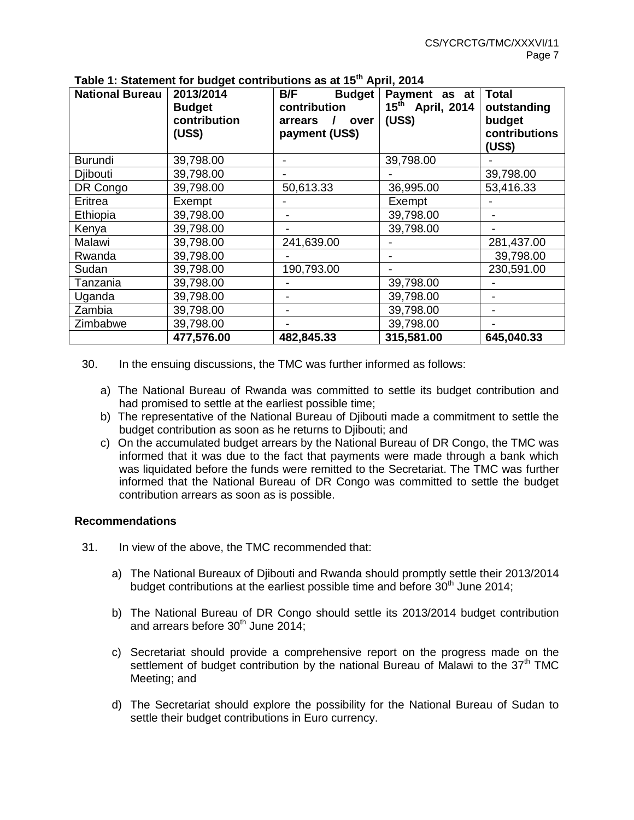| <b>National Bureau</b> | 2013/2014<br><b>Budget</b><br>contribution<br>(US\$) | B/F<br><b>Budget</b><br>contribution<br>arrears<br>over<br>payment (US\$) | Payment as at<br>15 <sup>th</sup> April, 2014<br>(US\$) | <b>Total</b><br>outstanding<br>budget<br>contributions<br>(US\$) |
|------------------------|------------------------------------------------------|---------------------------------------------------------------------------|---------------------------------------------------------|------------------------------------------------------------------|
| <b>Burundi</b>         | 39,798.00                                            |                                                                           | 39,798.00                                               |                                                                  |
| Djibouti               | 39,798.00                                            |                                                                           |                                                         | 39,798.00                                                        |
| DR Congo               | 39,798.00                                            | 50,613.33                                                                 | 36,995.00                                               | 53,416.33                                                        |
| Eritrea                | Exempt                                               |                                                                           | Exempt                                                  |                                                                  |
| Ethiopia               | 39,798.00                                            |                                                                           | 39,798.00                                               |                                                                  |
| Kenya                  | 39,798.00                                            |                                                                           | 39,798.00                                               |                                                                  |
| Malawi                 | 39,798.00                                            | 241,639.00                                                                |                                                         | 281,437.00                                                       |
| Rwanda                 | 39,798.00                                            |                                                                           |                                                         | 39,798.00                                                        |
| Sudan                  | 39,798.00                                            | 190,793.00                                                                |                                                         | 230,591.00                                                       |
| Tanzania               | 39,798.00                                            |                                                                           | 39,798.00                                               |                                                                  |
| Uganda                 | 39,798.00                                            |                                                                           | 39,798.00                                               |                                                                  |
| Zambia                 | 39,798.00                                            |                                                                           | 39,798.00                                               |                                                                  |
| Zimbabwe               | 39,798.00                                            |                                                                           | 39,798.00                                               |                                                                  |
|                        | 477,576.00                                           | 482,845.33                                                                | 315,581.00                                              | 645,040.33                                                       |

**Table 1: Statement for budget contributions as at 15th April, 2014**

- 30. In the ensuing discussions, the TMC was further informed as follows:
	- a) The National Bureau of Rwanda was committed to settle its budget contribution and had promised to settle at the earliest possible time;
	- b) The representative of the National Bureau of Djibouti made a commitment to settle the budget contribution as soon as he returns to Djibouti; and
	- c) On the accumulated budget arrears by the National Bureau of DR Congo, the TMC was informed that it was due to the fact that payments were made through a bank which was liquidated before the funds were remitted to the Secretariat. The TMC was further informed that the National Bureau of DR Congo was committed to settle the budget contribution arrears as soon as is possible.

- 31. In view of the above, the TMC recommended that:
	- a) The National Bureaux of Djibouti and Rwanda should promptly settle their 2013/2014 budget contributions at the earliest possible time and before  $30<sup>th</sup>$  June 2014;
	- b) The National Bureau of DR Congo should settle its 2013/2014 budget contribution and arrears before  $30<sup>th</sup>$  June 2014:
	- c) Secretariat should provide a comprehensive report on the progress made on the settlement of budget contribution by the national Bureau of Malawi to the  $37<sup>th</sup>$  TMC Meeting; and
	- d) The Secretariat should explore the possibility for the National Bureau of Sudan to settle their budget contributions in Euro currency.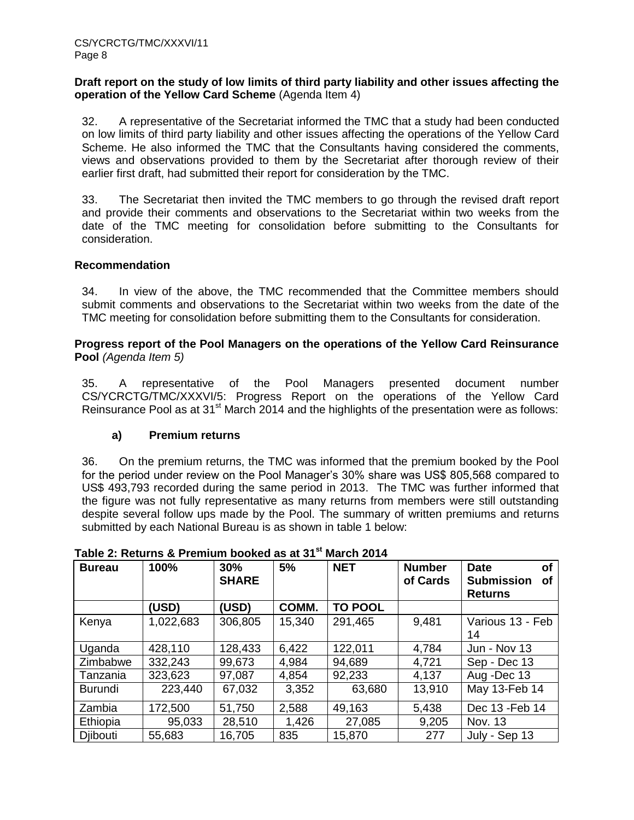#### **Draft report on the study of low limits of third party liability and other issues affecting the operation of the Yellow Card Scheme** (Agenda Item 4)

32. A representative of the Secretariat informed the TMC that a study had been conducted on low limits of third party liability and other issues affecting the operations of the Yellow Card Scheme. He also informed the TMC that the Consultants having considered the comments, views and observations provided to them by the Secretariat after thorough review of their earlier first draft, had submitted their report for consideration by the TMC.

33. The Secretariat then invited the TMC members to go through the revised draft report and provide their comments and observations to the Secretariat within two weeks from the date of the TMC meeting for consolidation before submitting to the Consultants for consideration.

### **Recommendation**

34. In view of the above, the TMC recommended that the Committee members should submit comments and observations to the Secretariat within two weeks from the date of the TMC meeting for consolidation before submitting them to the Consultants for consideration.

### **Progress report of the Pool Managers on the operations of the Yellow Card Reinsurance Pool** *(Agenda Item 5)*

35. A representative of the Pool Managers presented document number CS/YCRCTG/TMC/XXXVI/5: Progress Report on the operations of the Yellow Card Reinsurance Pool as at  $31<sup>st</sup>$  March 2014 and the highlights of the presentation were as follows:

## **a) Premium returns**

36. On the premium returns, the TMC was informed that the premium booked by the Pool for the period under review on the Pool Manager's 30% share was US\$ 805,568 compared to US\$ 493,793 recorded during the same period in 2013. The TMC was further informed that the figure was not fully representative as many returns from members were still outstanding despite several follow ups made by the Pool. The summary of written premiums and returns submitted by each National Bureau is as shown in table 1 below:

| <b>Bureau</b>  | 100%      | 30%<br><b>SHARE</b> | 5%     | <b>NET</b>     | <b>Number</b><br>of Cards | <b>Date</b><br>οf<br><b>Submission</b><br>Οf<br><b>Returns</b> |
|----------------|-----------|---------------------|--------|----------------|---------------------------|----------------------------------------------------------------|
|                | (USD)     | (USD)               | COMM.  | <b>TO POOL</b> |                           |                                                                |
| Kenya          | 1,022,683 | 306,805             | 15,340 | 291,465        | 9,481                     | Various 13 - Feb<br>14                                         |
| Uganda         | 428,110   | 128,433             | 6,422  | 122,011        | 4,784                     | <b>Jun - Nov 13</b>                                            |
| Zimbabwe       | 332,243   | 99,673              | 4,984  | 94,689         | 4,721                     | Sep - Dec 13                                                   |
| Tanzania       | 323,623   | 97,087              | 4,854  | 92,233         | 4,137                     | Aug -Dec 13                                                    |
| <b>Burundi</b> | 223,440   | 67,032              | 3,352  | 63,680         | 13,910                    | May 13-Feb 14                                                  |
| Zambia         | 172,500   | 51,750              | 2,588  | 49,163         | 5,438                     | Dec 13 - Feb 14                                                |
| Ethiopia       | 95,033    | 28,510              | 1,426  | 27,085         | 9,205                     | <b>Nov. 13</b>                                                 |
| Djibouti       | 55,683    | 16,705              | 835    | 15,870         | 277                       | July - Sep 13                                                  |

# **Table 2: Returns & Premium booked as at 31st March 2014**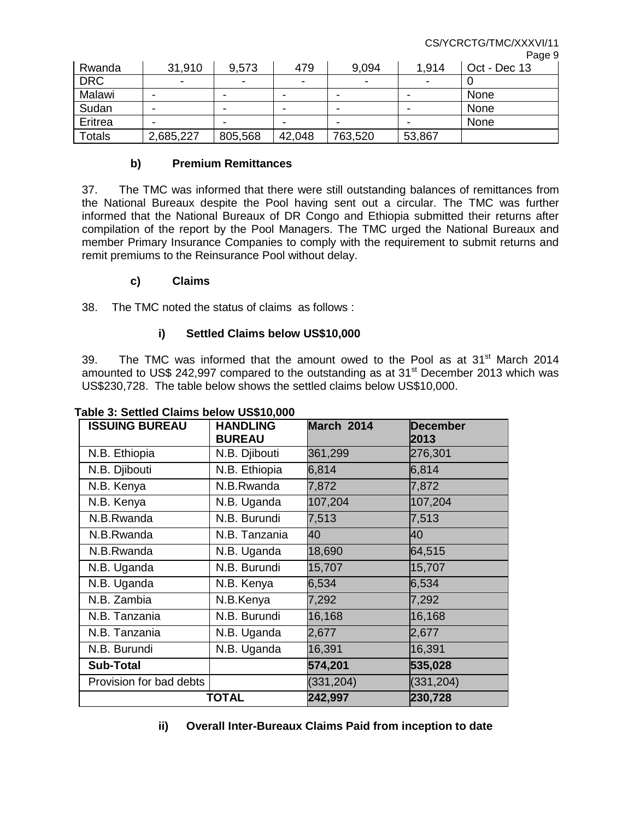CS/YCRCTG/TMC/XXXVI/11

Page 9

|               |                          |                          |                          |                          |                          | .990c        |
|---------------|--------------------------|--------------------------|--------------------------|--------------------------|--------------------------|--------------|
| Rwanda        | 31,910                   | 9,573                    | 479                      | 9,094                    | 1.914                    | Oct - Dec 13 |
| <b>DRC</b>    | $\overline{\phantom{0}}$ | $\overline{\phantom{0}}$ | $\overline{\phantom{a}}$ | $\overline{\phantom{a}}$ | $\overline{\phantom{a}}$ |              |
| Malawi        | ۰                        | -                        | $\,$                     | -                        |                          | None         |
| Sudan         | $\overline{\phantom{0}}$ | -                        | $\,$                     |                          |                          | None         |
| Eritrea       | $\overline{\phantom{0}}$ |                          | $\,$                     |                          |                          | None         |
| <b>Totals</b> | 2,685,227                | 805,568                  | 42,048                   | 763,520                  | 53,867                   |              |

### **b) Premium Remittances**

37. The TMC was informed that there were still outstanding balances of remittances from the National Bureaux despite the Pool having sent out a circular. The TMC was further informed that the National Bureaux of DR Congo and Ethiopia submitted their returns after compilation of the report by the Pool Managers. The TMC urged the National Bureaux and member Primary Insurance Companies to comply with the requirement to submit returns and remit premiums to the Reinsurance Pool without delay.

### **c) Claims**

38. The TMC noted the status of claims as follows :

## **i) Settled Claims below US\$10,000**

39. The TMC was informed that the amount owed to the Pool as at  $31<sup>st</sup>$  March 2014 amounted to US\$ 242,997 compared to the outstanding as at  $31<sup>st</sup>$  December 2013 which was US\$230,728. The table below shows the settled claims below US\$10,000.

| <b>ISSUING BUREAU</b>   | <b>HANDLING</b><br><b>BUREAU</b> | March 2014 | <b>December</b><br>2013 |
|-------------------------|----------------------------------|------------|-------------------------|
| N.B. Ethiopia           | N.B. Djibouti                    | 361,299    | 276,301                 |
| N.B. Djibouti           | N.B. Ethiopia                    | 6,814      | 6,814                   |
| N.B. Kenya              | N.B.Rwanda                       | 7,872      | 7,872                   |
| N.B. Kenya              | N.B. Uganda                      | 107,204    | 107,204                 |
| N.B.Rwanda              | N.B. Burundi                     | 7,513      | 7,513                   |
| N.B.Rwanda              | N.B. Tanzania                    | 40         | 40                      |
| N.B.Rwanda              | N.B. Uganda                      | 18,690     | 64,515                  |
| N.B. Uganda             | N.B. Burundi                     | 15,707     | 15,707                  |
| N.B. Uganda             | N.B. Kenya                       | 6,534      | 6,534                   |
| N.B. Zambia             | N.B.Kenya                        | 7,292      | 7,292                   |
| N.B. Tanzania           | N.B. Burundi                     | 16,168     | 16,168                  |
| N.B. Tanzania           | N.B. Uganda                      | 2,677      | 2,677                   |
| N.B. Burundi            | N.B. Uganda                      | 16,391     | 16,391                  |
| <b>Sub-Total</b>        |                                  | 574,201    | 535,028                 |
| Provision for bad debts |                                  | (331, 204) | (331, 204)              |
| <b>TOTAL</b>            |                                  | 242,997    | 230,728                 |

#### **Table 3: Settled Claims below US\$10,000**

**ii) Overall Inter-Bureaux Claims Paid from inception to date**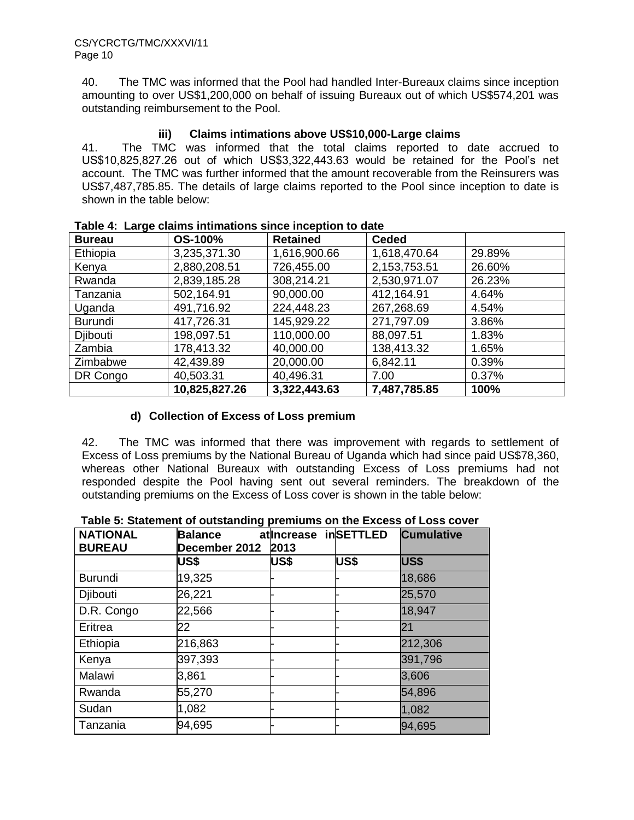40. The TMC was informed that the Pool had handled Inter-Bureaux claims since inception amounting to over US\$1,200,000 on behalf of issuing Bureaux out of which US\$574,201 was outstanding reimbursement to the Pool.

## **iii) Claims intimations above US\$10,000-Large claims**

41. The TMC was informed that the total claims reported to date accrued to US\$10,825,827.26 out of which US\$3,322,443.63 would be retained for the Pool's net account. The TMC was further informed that the amount recoverable from the Reinsurers was US\$7,487,785.85. The details of large claims reported to the Pool since inception to date is shown in the table below:

| <b>Bureau</b>   | <b>OS-100%</b> | <b>Retained</b> | <b>Ceded</b> |        |
|-----------------|----------------|-----------------|--------------|--------|
| Ethiopia        | 3,235,371.30   | 1,616,900.66    | 1,618,470.64 | 29.89% |
| Kenya           | 2,880,208.51   | 726,455.00      | 2,153,753.51 | 26.60% |
| Rwanda          | 2,839,185.28   | 308,214.21      | 2,530,971.07 | 26.23% |
| Tanzania        | 502,164.91     | 90,000.00       | 412,164.91   | 4.64%  |
| Uganda          | 491,716.92     | 224,448.23      | 267,268.69   | 4.54%  |
| Burundi         | 417,726.31     | 145,929.22      | 271,797.09   | 3.86%  |
| <b>Diibouti</b> | 198,097.51     | 110,000.00      | 88,097.51    | 1.83%  |
| Zambia          | 178,413.32     | 40,000.00       | 138,413.32   | 1.65%  |
| Zimbabwe        | 42,439.89      | 20,000.00       | 6,842.11     | 0.39%  |
| DR Congo        | 40,503.31      | 40,496.31       | 7.00         | 0.37%  |
|                 | 10,825,827.26  | 3,322,443.63    | 7,487,785.85 | 100%   |

**Table 4: Large claims intimations since inception to date**

# **d) Collection of Excess of Loss premium**

42. The TMC was informed that there was improvement with regards to settlement of Excess of Loss premiums by the National Bureau of Uganda which had since paid US\$78,360, whereas other National Bureaux with outstanding Excess of Loss premiums had not responded despite the Pool having sent out several reminders. The breakdown of the outstanding premiums on the Excess of Loss cover is shown in the table below:

| <b>NATIONAL</b> | <b>Balance</b> | atIncrease  | <b>inSETTLED</b> | <b>Cumulative</b> |
|-----------------|----------------|-------------|------------------|-------------------|
| <b>BUREAU</b>   | December 2012  | 2013        |                  |                   |
|                 | <b>US\$</b>    | <b>US\$</b> | <b>US\$</b>      | US\$              |
| <b>Burundi</b>  | 19,325         |             |                  | 18,686            |
| Djibouti        | 26,221         |             |                  | 25,570            |
| D.R. Congo      | 22,566         |             |                  | 18,947            |
| Eritrea         | 22             |             |                  | 21                |
| Ethiopia        | 216,863        |             |                  | 212,306           |
| Kenya           | 397,393        |             |                  | 391,796           |
| Malawi          | 3,861          |             |                  | 3,606             |
| Rwanda          | 55,270         |             |                  | 54,896            |
| Sudan           | 1,082          |             |                  | 1,082             |
| Tanzania        | 94,695         |             |                  | 94,695            |

 **Table 5: Statement of outstanding premiums on the Excess of Loss cover**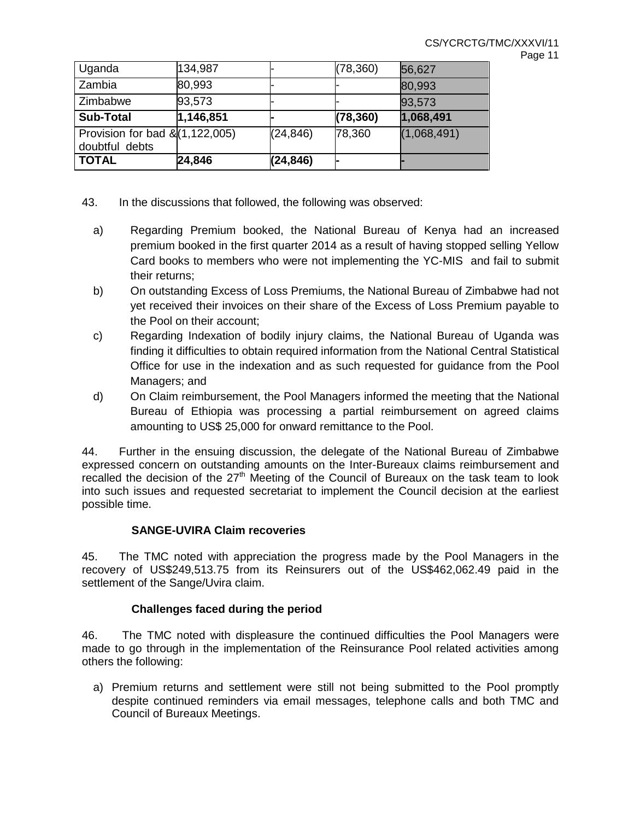| ane, |  |  |
|------|--|--|
|------|--|--|

| Uganda                                              | 134,987   |           | (78, 360) | 56,627      |
|-----------------------------------------------------|-----------|-----------|-----------|-------------|
| Zambia                                              | 80,993    |           |           | 80,993      |
| Zimbabwe                                            | 93,573    |           |           | 93,573      |
| <b>Sub-Total</b>                                    | 1,146,851 |           | (78, 360) | 1,068,491   |
| Provision for bad $\&(1,122,005)$<br>doubtful debts |           | (24, 846) | 78,360    | (1,068,491) |
| <b>TOTAL</b>                                        | 24,846    | (24, 846) |           |             |

- 43. In the discussions that followed, the following was observed:
	- a) Regarding Premium booked, the National Bureau of Kenya had an increased premium booked in the first quarter 2014 as a result of having stopped selling Yellow Card books to members who were not implementing the YC-MIS and fail to submit their returns;
	- b) On outstanding Excess of Loss Premiums, the National Bureau of Zimbabwe had not yet received their invoices on their share of the Excess of Loss Premium payable to the Pool on their account;
	- c) Regarding Indexation of bodily injury claims, the National Bureau of Uganda was finding it difficulties to obtain required information from the National Central Statistical Office for use in the indexation and as such requested for guidance from the Pool Managers; and
	- d) On Claim reimbursement, the Pool Managers informed the meeting that the National Bureau of Ethiopia was processing a partial reimbursement on agreed claims amounting to US\$ 25,000 for onward remittance to the Pool.

44. Further in the ensuing discussion, the delegate of the National Bureau of Zimbabwe expressed concern on outstanding amounts on the Inter-Bureaux claims reimbursement and recalled the decision of the  $27<sup>th</sup>$  Meeting of the Council of Bureaux on the task team to look into such issues and requested secretariat to implement the Council decision at the earliest possible time.

## **SANGE-UVIRA Claim recoveries**

45. The TMC noted with appreciation the progress made by the Pool Managers in the recovery of US\$249,513.75 from its Reinsurers out of the US\$462,062.49 paid in the settlement of the Sange/Uvira claim.

## **Challenges faced during the period**

46. The TMC noted with displeasure the continued difficulties the Pool Managers were made to go through in the implementation of the Reinsurance Pool related activities among others the following:

a) Premium returns and settlement were still not being submitted to the Pool promptly despite continued reminders via email messages, telephone calls and both TMC and Council of Bureaux Meetings.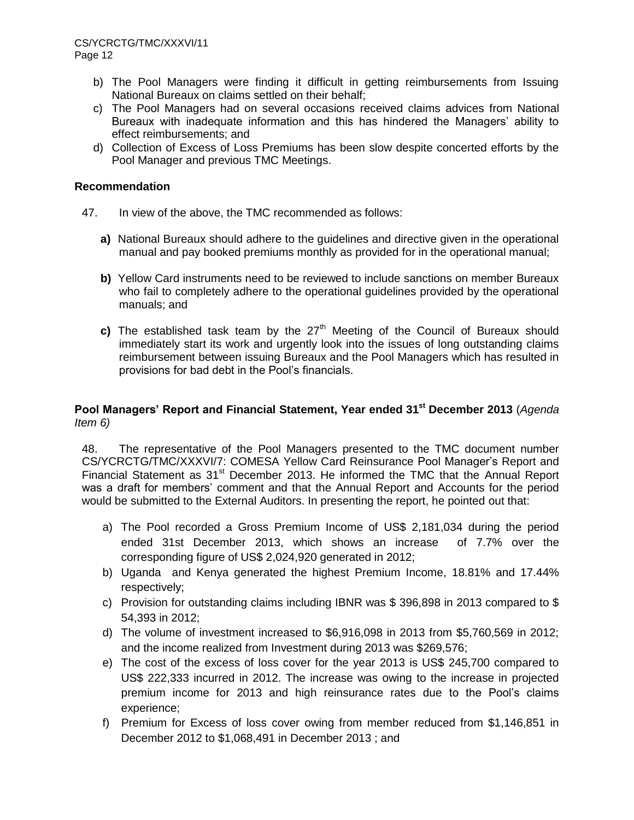- b) The Pool Managers were finding it difficult in getting reimbursements from Issuing National Bureaux on claims settled on their behalf;
- c) The Pool Managers had on several occasions received claims advices from National Bureaux with inadequate information and this has hindered the Managers' ability to effect reimbursements; and
- d) Collection of Excess of Loss Premiums has been slow despite concerted efforts by the Pool Manager and previous TMC Meetings.

- 47. In view of the above, the TMC recommended as follows:
	- **a)** National Bureaux should adhere to the guidelines and directive given in the operational manual and pay booked premiums monthly as provided for in the operational manual;
	- **b)** Yellow Card instruments need to be reviewed to include sanctions on member Bureaux who fail to completely adhere to the operational guidelines provided by the operational manuals; and
	- **c)** The established task team by the 27<sup>th</sup> Meeting of the Council of Bureaux should immediately start its work and urgently look into the issues of long outstanding claims reimbursement between issuing Bureaux and the Pool Managers which has resulted in provisions for bad debt in the Pool's financials.

## **Pool Managers' Report and Financial Statement, Year ended 31st December 2013** (*Agenda Item 6)*

48. The representative of the Pool Managers presented to the TMC document number CS/YCRCTG/TMC/XXXVI/7: COMESA Yellow Card Reinsurance Pool Manager's Report and Financial Statement as 31<sup>st</sup> December 2013. He informed the TMC that the Annual Report was a draft for members' comment and that the Annual Report and Accounts for the period would be submitted to the External Auditors. In presenting the report, he pointed out that:

- a) The Pool recorded a Gross Premium Income of US\$ 2,181,034 during the period ended 31st December 2013, which shows an increase of 7.7% over the corresponding figure of US\$ 2,024,920 generated in 2012;
- b) Uganda and Kenya generated the highest Premium Income, 18.81% and 17.44% respectively;
- c) Provision for outstanding claims including IBNR was \$ 396,898 in 2013 compared to \$ 54,393 in 2012;
- d) The volume of investment increased to \$6,916,098 in 2013 from \$5,760,569 in 2012; and the income realized from Investment during 2013 was \$269,576;
- e) The cost of the excess of loss cover for the year 2013 is US\$ 245,700 compared to US\$ 222,333 incurred in 2012. The increase was owing to the increase in projected premium income for 2013 and high reinsurance rates due to the Pool's claims experience;
- f) Premium for Excess of loss cover owing from member reduced from \$1,146,851 in December 2012 to \$1,068,491 in December 2013 ; and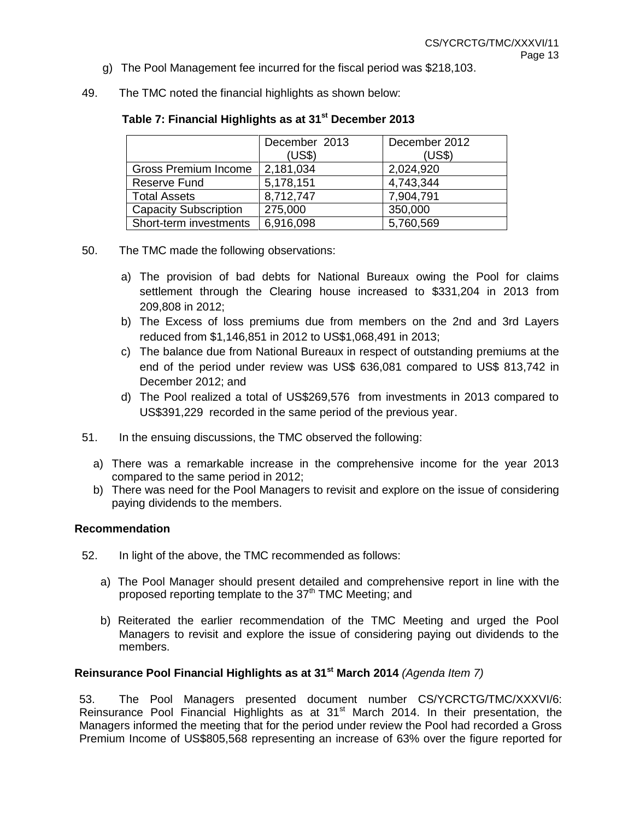- g) The Pool Management fee incurred for the fiscal period was \$218,103.
- 49. The TMC noted the financial highlights as shown below:

|                              | December 2013<br>(US\$) | December 2012<br>(US\$) |
|------------------------------|-------------------------|-------------------------|
| Gross Premium Income         | 2,181,034               | 2,024,920               |
| Reserve Fund                 | 5,178,151               | 4,743,344               |
| <b>Total Assets</b>          | 8,712,747               | 7,904,791               |
| <b>Capacity Subscription</b> | 275,000                 | 350,000                 |
| Short-term investments       | 6,916,098               | 5,760,569               |

# **Table 7: Financial Highlights as at 31st December 2013**

- 50. The TMC made the following observations:
	- a) The provision of bad debts for National Bureaux owing the Pool for claims settlement through the Clearing house increased to \$331,204 in 2013 from 209,808 in 2012;
	- b) The Excess of loss premiums due from members on the 2nd and 3rd Layers reduced from \$1,146,851 in 2012 to US\$1,068,491 in 2013;
	- c) The balance due from National Bureaux in respect of outstanding premiums at the end of the period under review was US\$ 636,081 compared to US\$ 813,742 in December 2012; and
	- d) The Pool realized a total of US\$269,576 from investments in 2013 compared to US\$391,229 recorded in the same period of the previous year.
- 51. In the ensuing discussions, the TMC observed the following:
	- a) There was a remarkable increase in the comprehensive income for the year 2013 compared to the same period in 2012;
	- b) There was need for the Pool Managers to revisit and explore on the issue of considering paying dividends to the members.

## **Recommendation**

- 52. In light of the above, the TMC recommended as follows:
	- a) The Pool Manager should present detailed and comprehensive report in line with the proposed reporting template to the  $37<sup>th</sup>$  TMC Meeting; and
	- b) Reiterated the earlier recommendation of the TMC Meeting and urged the Pool Managers to revisit and explore the issue of considering paying out dividends to the members.

## **Reinsurance Pool Financial Highlights as at 31st March 2014** *(Agenda Item 7)*

53. The Pool Managers presented document number CS/YCRCTG/TMC/XXXVI/6: Reinsurance Pool Financial Highlights as at 31<sup>st</sup> March 2014. In their presentation, the Managers informed the meeting that for the period under review the Pool had recorded a Gross Premium Income of US\$805,568 representing an increase of 63% over the figure reported for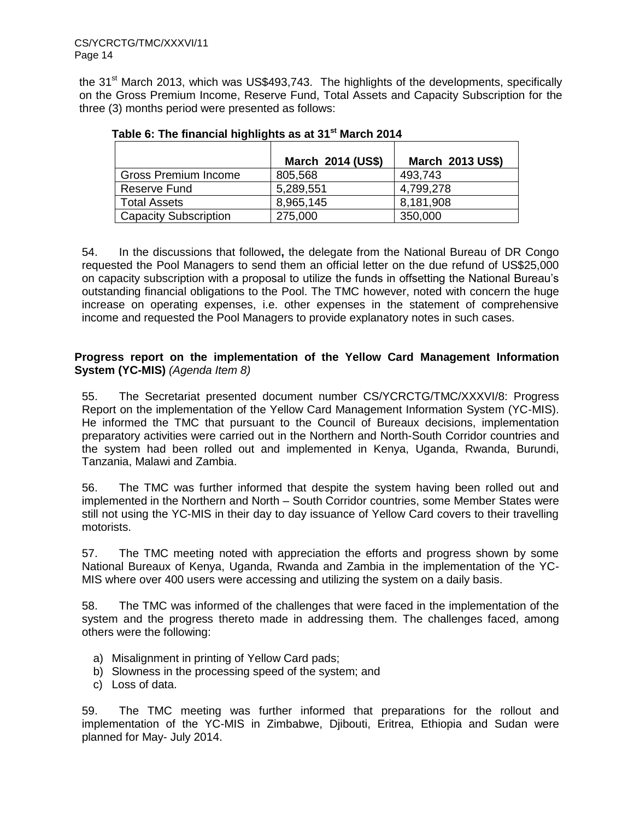the 31<sup>st</sup> March 2013, which was US\$493,743. The highlights of the developments, specifically on the Gross Premium Income, Reserve Fund, Total Assets and Capacity Subscription for the three (3) months period were presented as follows:

|                              | March 2014 (US\$) | March 2013 US\$) |
|------------------------------|-------------------|------------------|
| Gross Premium Income         | 805,568           | 493,743          |
| Reserve Fund                 | 5,289,551         | 4,799,278        |
| <b>Total Assets</b>          | 8,965,145         | 8,181,908        |
| <b>Capacity Subscription</b> | 275,000           | 350,000          |

# **Table 6: The financial highlights as at 31st March 2014**

54. In the discussions that followed**,** the delegate from the National Bureau of DR Congo requested the Pool Managers to send them an official letter on the due refund of US\$25,000 on capacity subscription with a proposal to utilize the funds in offsetting the National Bureau's outstanding financial obligations to the Pool. The TMC however, noted with concern the huge increase on operating expenses, i.e. other expenses in the statement of comprehensive income and requested the Pool Managers to provide explanatory notes in such cases.

## **Progress report on the implementation of the Yellow Card Management Information System (YC-MIS)** *(Agenda Item 8)*

55. The Secretariat presented document number CS/YCRCTG/TMC/XXXVI/8: Progress Report on the implementation of the Yellow Card Management Information System (YC-MIS). He informed the TMC that pursuant to the Council of Bureaux decisions, implementation preparatory activities were carried out in the Northern and North-South Corridor countries and the system had been rolled out and implemented in Kenya, Uganda, Rwanda, Burundi, Tanzania, Malawi and Zambia.

56. The TMC was further informed that despite the system having been rolled out and implemented in the Northern and North – South Corridor countries, some Member States were still not using the YC-MIS in their day to day issuance of Yellow Card covers to their travelling motorists.

57. The TMC meeting noted with appreciation the efforts and progress shown by some National Bureaux of Kenya, Uganda, Rwanda and Zambia in the implementation of the YC-MIS where over 400 users were accessing and utilizing the system on a daily basis.

58. The TMC was informed of the challenges that were faced in the implementation of the system and the progress thereto made in addressing them. The challenges faced, among others were the following:

- a) Misalignment in printing of Yellow Card pads;
- b) Slowness in the processing speed of the system; and
- c) Loss of data.

59. The TMC meeting was further informed that preparations for the rollout and implementation of the YC-MIS in Zimbabwe, Djibouti, Eritrea, Ethiopia and Sudan were planned for May- July 2014.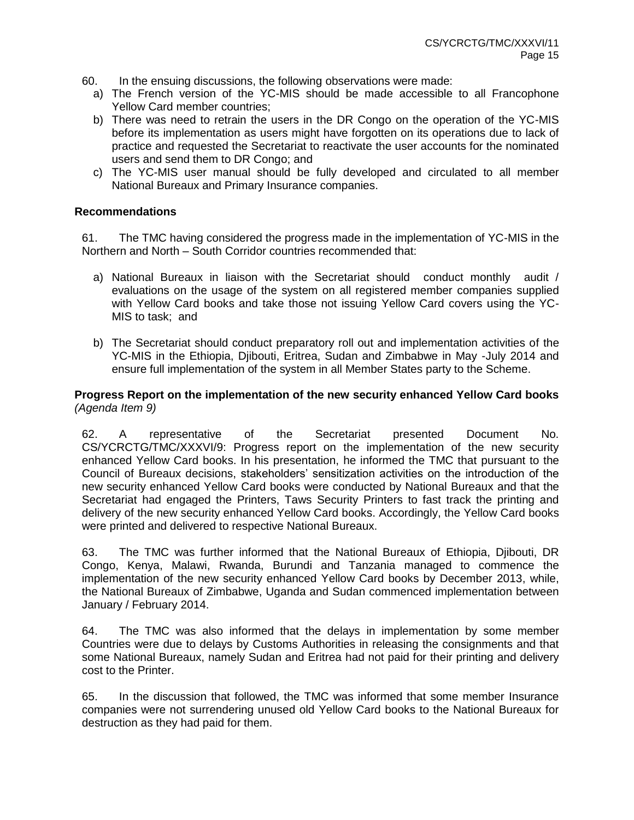- 60. In the ensuing discussions, the following observations were made:
	- a) The French version of the YC-MIS should be made accessible to all Francophone Yellow Card member countries;
	- b) There was need to retrain the users in the DR Congo on the operation of the YC-MIS before its implementation as users might have forgotten on its operations due to lack of practice and requested the Secretariat to reactivate the user accounts for the nominated users and send them to DR Congo; and
	- c) The YC-MIS user manual should be fully developed and circulated to all member National Bureaux and Primary Insurance companies.

61. The TMC having considered the progress made in the implementation of YC-MIS in the Northern and North – South Corridor countries recommended that:

- a) National Bureaux in liaison with the Secretariat should conduct monthly audit / evaluations on the usage of the system on all registered member companies supplied with Yellow Card books and take those not issuing Yellow Card covers using the YC-MIS to task; and
- b) The Secretariat should conduct preparatory roll out and implementation activities of the YC-MIS in the Ethiopia, Djibouti, Eritrea, Sudan and Zimbabwe in May -July 2014 and ensure full implementation of the system in all Member States party to the Scheme.

### **Progress Report on the implementation of the new security enhanced Yellow Card books**  *(Agenda Item 9)*

62. A representative of the Secretariat presented Document No. CS/YCRCTG/TMC/XXXVI/9: Progress report on the implementation of the new security enhanced Yellow Card books. In his presentation, he informed the TMC that pursuant to the Council of Bureaux decisions, stakeholders' sensitization activities on the introduction of the new security enhanced Yellow Card books were conducted by National Bureaux and that the Secretariat had engaged the Printers, Taws Security Printers to fast track the printing and delivery of the new security enhanced Yellow Card books. Accordingly, the Yellow Card books were printed and delivered to respective National Bureaux.

63. The TMC was further informed that the National Bureaux of Ethiopia, Djibouti, DR Congo, Kenya, Malawi, Rwanda, Burundi and Tanzania managed to commence the implementation of the new security enhanced Yellow Card books by December 2013, while, the National Bureaux of Zimbabwe, Uganda and Sudan commenced implementation between January / February 2014.

64. The TMC was also informed that the delays in implementation by some member Countries were due to delays by Customs Authorities in releasing the consignments and that some National Bureaux, namely Sudan and Eritrea had not paid for their printing and delivery cost to the Printer.

65. In the discussion that followed, the TMC was informed that some member Insurance companies were not surrendering unused old Yellow Card books to the National Bureaux for destruction as they had paid for them.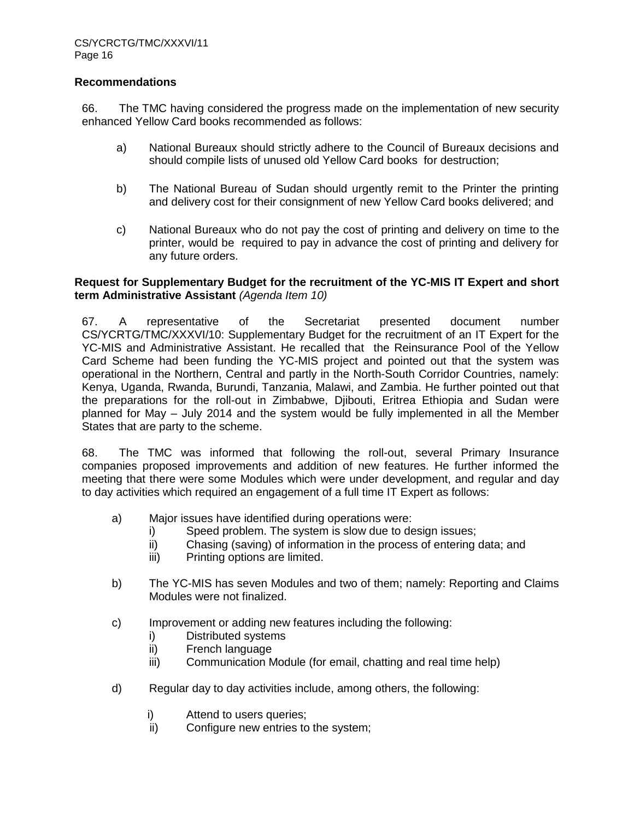66. The TMC having considered the progress made on the implementation of new security enhanced Yellow Card books recommended as follows:

- a) National Bureaux should strictly adhere to the Council of Bureaux decisions and should compile lists of unused old Yellow Card books for destruction;
- b) The National Bureau of Sudan should urgently remit to the Printer the printing and delivery cost for their consignment of new Yellow Card books delivered; and
- c) National Bureaux who do not pay the cost of printing and delivery on time to the printer, would be required to pay in advance the cost of printing and delivery for any future orders.

### **Request for Supplementary Budget for the recruitment of the YC-MIS IT Expert and short term Administrative Assistant** *(Agenda Item 10)*

67. A representative of the Secretariat presented document number CS/YCRTG/TMC/XXXVI/10: Supplementary Budget for the recruitment of an IT Expert for the YC-MIS and Administrative Assistant. He recalled that the Reinsurance Pool of the Yellow Card Scheme had been funding the YC-MIS project and pointed out that the system was operational in the Northern, Central and partly in the North-South Corridor Countries, namely: Kenya, Uganda, Rwanda, Burundi, Tanzania, Malawi, and Zambia. He further pointed out that the preparations for the roll-out in Zimbabwe, Djibouti, Eritrea Ethiopia and Sudan were planned for May – July 2014 and the system would be fully implemented in all the Member States that are party to the scheme.

68. The TMC was informed that following the roll-out, several Primary Insurance companies proposed improvements and addition of new features. He further informed the meeting that there were some Modules which were under development, and regular and day to day activities which required an engagement of a full time IT Expert as follows:

- a) Major issues have identified during operations were:
	- i) Speed problem. The system is slow due to design issues;
	- ii) Chasing (saving) of information in the process of entering data; and
	- iii) Printing options are limited.
- b) The YC-MIS has seven Modules and two of them; namely: Reporting and Claims Modules were not finalized.
- c) Improvement or adding new features including the following:
	- i) Distributed systems
	- ii) French language
	- iii) Communication Module (for email, chatting and real time help)
- d) Regular day to day activities include, among others, the following:
	- i) Attend to users queries;
	- ii) Configure new entries to the system;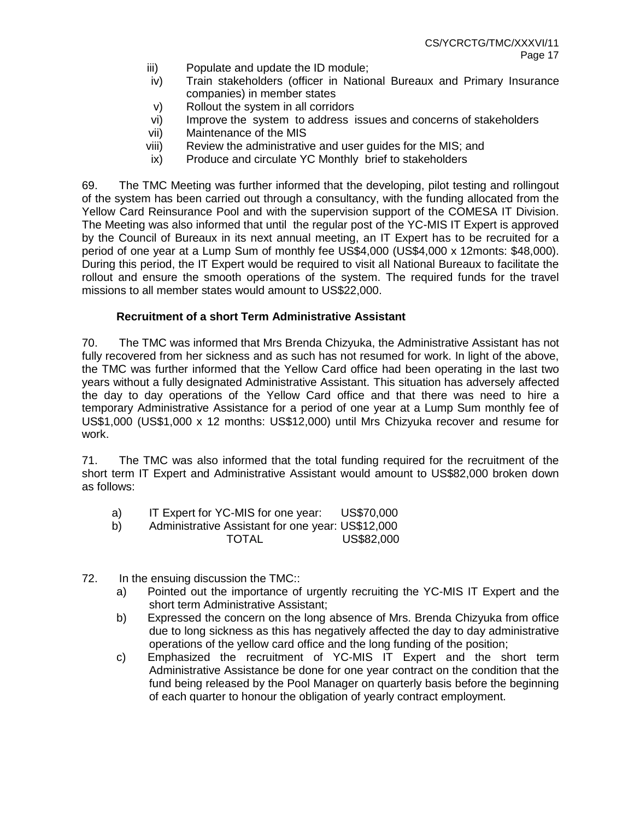- iii) Populate and update the ID module;
- iv) Train stakeholders (officer in National Bureaux and Primary Insurance companies) in member states
- v) Rollout the system in all corridors
- vi) Improve the system to address issues and concerns of stakeholders
- vii) Maintenance of the MIS
- viii) Review the administrative and user guides for the MIS; and
- ix) Produce and circulate YC Monthly brief to stakeholders

69. The TMC Meeting was further informed that the developing, pilot testing and rollingout of the system has been carried out through a consultancy, with the funding allocated from the Yellow Card Reinsurance Pool and with the supervision support of the COMESA IT Division. The Meeting was also informed that until the regular post of the YC-MIS IT Expert is approved by the Council of Bureaux in its next annual meeting, an IT Expert has to be recruited for a period of one year at a Lump Sum of monthly fee US\$4,000 (US\$4,000 x 12monts: \$48,000). During this period, the IT Expert would be required to visit all National Bureaux to facilitate the rollout and ensure the smooth operations of the system. The required funds for the travel missions to all member states would amount to US\$22,000.

### **Recruitment of a short Term Administrative Assistant**

70. The TMC was informed that Mrs Brenda Chizyuka, the Administrative Assistant has not fully recovered from her sickness and as such has not resumed for work. In light of the above, the TMC was further informed that the Yellow Card office had been operating in the last two years without a fully designated Administrative Assistant. This situation has adversely affected the day to day operations of the Yellow Card office and that there was need to hire a temporary Administrative Assistance for a period of one year at a Lump Sum monthly fee of US\$1,000 (US\$1,000 x 12 months: US\$12,000) until Mrs Chizyuka recover and resume for work.

71. The TMC was also informed that the total funding required for the recruitment of the short term IT Expert and Administrative Assistant would amount to US\$82,000 broken down as follows:

- a) IT Expert for YC-MIS for one year: US\$70,000
- b) Administrative Assistant for one year: US\$12,000 TOTAL US\$82,000
- 72. In the ensuing discussion the TMC::
	- a) Pointed out the importance of urgently recruiting the YC-MIS IT Expert and the short term Administrative Assistant;
	- b) Expressed the concern on the long absence of Mrs. Brenda Chizyuka from office due to long sickness as this has negatively affected the day to day administrative operations of the yellow card office and the long funding of the position;
	- c) Emphasized the recruitment of YC-MIS IT Expert and the short term Administrative Assistance be done for one year contract on the condition that the fund being released by the Pool Manager on quarterly basis before the beginning of each quarter to honour the obligation of yearly contract employment.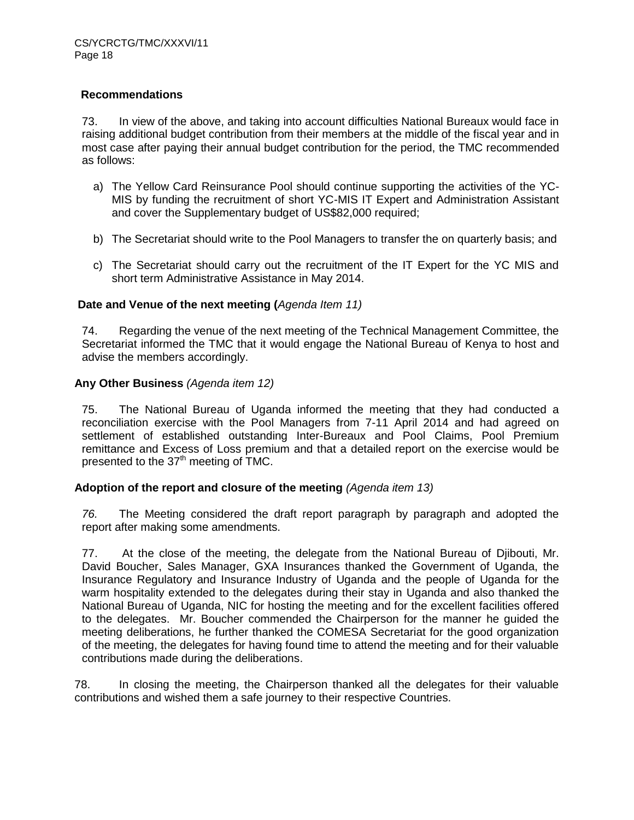73. In view of the above, and taking into account difficulties National Bureaux would face in raising additional budget contribution from their members at the middle of the fiscal year and in most case after paying their annual budget contribution for the period, the TMC recommended as follows:

- a) The Yellow Card Reinsurance Pool should continue supporting the activities of the YC-MIS by funding the recruitment of short YC-MIS IT Expert and Administration Assistant and cover the Supplementary budget of US\$82,000 required;
- b) The Secretariat should write to the Pool Managers to transfer the on quarterly basis; and
- c) The Secretariat should carry out the recruitment of the IT Expert for the YC MIS and short term Administrative Assistance in May 2014.

#### **Date and Venue of the next meeting (***Agenda Item 11)*

74. Regarding the venue of the next meeting of the Technical Management Committee, the Secretariat informed the TMC that it would engage the National Bureau of Kenya to host and advise the members accordingly.

#### **Any Other Business** *(Agenda item 12)*

75. The National Bureau of Uganda informed the meeting that they had conducted a reconciliation exercise with the Pool Managers from 7-11 April 2014 and had agreed on settlement of established outstanding Inter-Bureaux and Pool Claims, Pool Premium remittance and Excess of Loss premium and that a detailed report on the exercise would be presented to the 37<sup>th</sup> meeting of TMC.

#### **Adoption of the report and closure of the meeting** *(Agenda item 13)*

*76.* The Meeting considered the draft report paragraph by paragraph and adopted the report after making some amendments.

77. At the close of the meeting, the delegate from the National Bureau of Djibouti, Mr. David Boucher, Sales Manager, GXA Insurances thanked the Government of Uganda, the Insurance Regulatory and Insurance Industry of Uganda and the people of Uganda for the warm hospitality extended to the delegates during their stay in Uganda and also thanked the National Bureau of Uganda, NIC for hosting the meeting and for the excellent facilities offered to the delegates. Mr. Boucher commended the Chairperson for the manner he guided the meeting deliberations, he further thanked the COMESA Secretariat for the good organization of the meeting, the delegates for having found time to attend the meeting and for their valuable contributions made during the deliberations.

78. In closing the meeting, the Chairperson thanked all the delegates for their valuable contributions and wished them a safe journey to their respective Countries.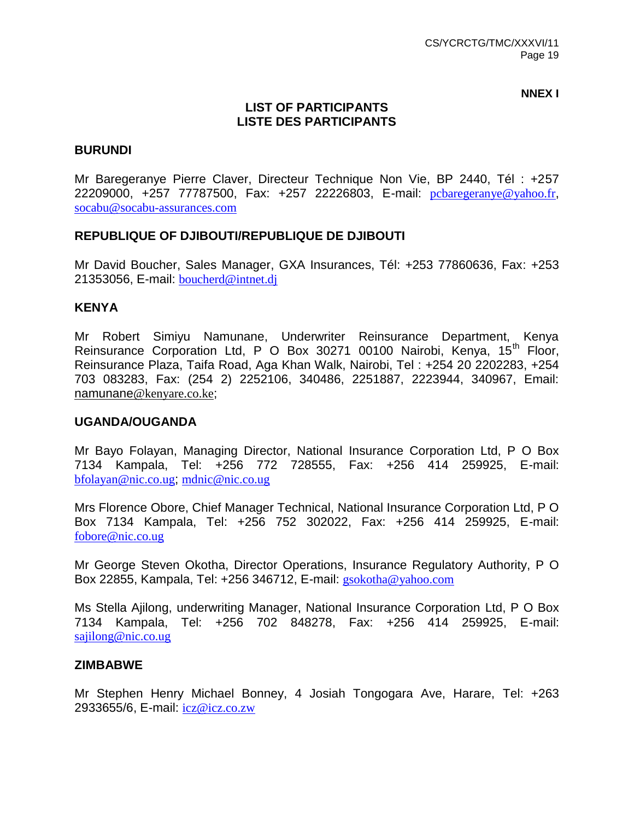**NNEX I**

# **LIST OF PARTICIPANTS LISTE DES PARTICIPANTS**

# **BURUNDI**

Mr Baregeranye Pierre Claver, Directeur Technique Non Vie, BP 2440, Tél : +257 22209000, +257 77787500, Fax: +257 22226803, E-mail: [pcbaregeranye@yahoo.fr](mailto:pcbaregeranye@yahoo.fr), [socabu@socabu-assurances.com](mailto:socabu@socabu-assurances.com)

# **REPUBLIQUE OF DJIBOUTI/REPUBLIQUE DE DJIBOUTI**

Mr David Boucher, Sales Manager, GXA Insurances, Tél: +253 77860636, Fax: +253 21353056, E-mail: [boucherd@intnet.dj](mailto:boucherd@intnet.dj)

# **KENYA**

Mr Robert Simiyu Namunane, Underwriter Reinsurance Department, Kenya Reinsurance Corporation Ltd, P O Box 30271 00100 Nairobi, Kenya, 15<sup>th</sup> Floor, Reinsurance Plaza, Taifa Road, Aga Khan Walk, Nairobi, Tel : +254 20 2202283, +254 703 083283, Fax: (254 2) 2252106, 340486, 2251887, 2223944, 340967, Email: namunane[@kenyare.co.ke](mailto:m@kenyare.co.ke);

## **UGANDA/OUGANDA**

Mr Bayo Folayan, Managing Director, National Insurance Corporation Ltd, P O Box 7134 Kampala, Tel: +256 772 728555, Fax: +256 414 259925, E-mail: [bfolayan@nic.co.ug](mailto:bfolayan@nic.co.ug); [mdnic@nic.co.ug](mailto:mdnic@nic.co.ug)

Mrs Florence Obore, Chief Manager Technical, National Insurance Corporation Ltd, P O Box 7134 Kampala, Tel: +256 752 302022, Fax: +256 414 259925, E-mail: [fobore@nic.co.ug](mailto:fobore@nic.co.ug)

Mr George Steven Okotha, Director Operations, Insurance Regulatory Authority, P O Box 22855, Kampala, Tel: +256 346712, E-mail: [gsokotha@yahoo.com](mailto:gsokotha@yahoo.com)

Ms Stella Ajilong, underwriting Manager, National Insurance Corporation Ltd, P O Box 7134 Kampala, Tel: +256 702 848278, Fax: +256 414 259925, E-mail: [sajilong@nic.co.ug](mailto:sajilong@nic.co.ug)

#### **ZIMBABWE**

Mr Stephen Henry Michael Bonney, 4 Josiah Tongogara Ave, Harare, Tel: +263 2933655/6, E-mail: [icz@icz.co.zw](mailto:icz@icz.co.zw)